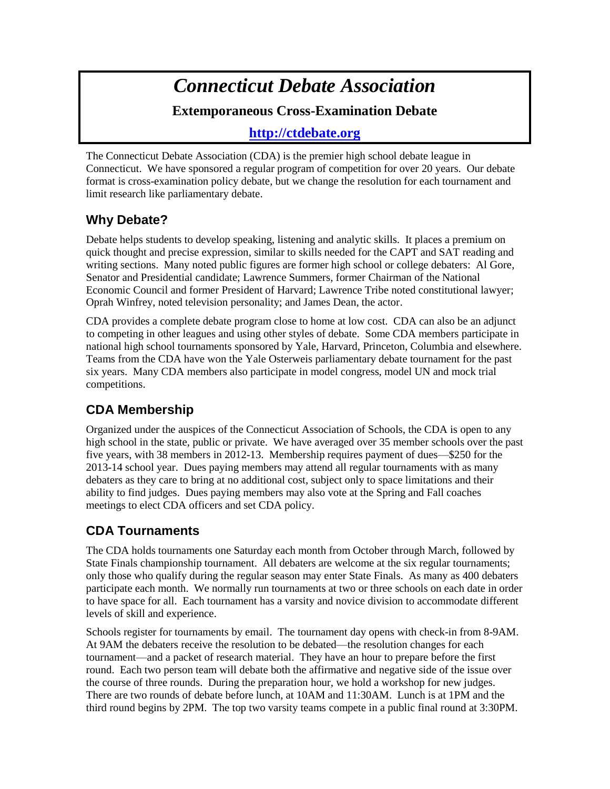# *Connecticut Debate Association* **Extemporaneous Cross-Examination Debate**

#### **[http://ctdebate.org](http://ctdebate.org/)**

The Connecticut Debate Association (CDA) is the premier high school debate league in Connecticut. We have sponsored a regular program of competition for over 20 years. Our debate format is cross-examination policy debate, but we change the resolution for each tournament and limit research like parliamentary debate.

#### **Why Debate?**

Debate helps students to develop speaking, listening and analytic skills. It places a premium on quick thought and precise expression, similar to skills needed for the CAPT and SAT reading and writing sections. Many noted public figures are former high school or college debaters: Al Gore, Senator and Presidential candidate; Lawrence Summers, former Chairman of the National Economic Council and former President of Harvard; Lawrence Tribe noted constitutional lawyer; Oprah Winfrey, noted television personality; and James Dean, the actor.

CDA provides a complete debate program close to home at low cost. CDA can also be an adjunct to competing in other leagues and using other styles of debate. Some CDA members participate in national high school tournaments sponsored by Yale, Harvard, Princeton, Columbia and elsewhere. Teams from the CDA have won the Yale Osterweis parliamentary debate tournament for the past six years. Many CDA members also participate in model congress, model UN and mock trial competitions.

## **CDA Membership**

Organized under the auspices of the Connecticut Association of Schools, the CDA is open to any high school in the state, public or private. We have averaged over 35 member schools over the past five years, with 38 members in 2012-13. Membership requires payment of dues—\$250 for the 2013-14 school year. Dues paying members may attend all regular tournaments with as many debaters as they care to bring at no additional cost, subject only to space limitations and their ability to find judges. Dues paying members may also vote at the Spring and Fall coaches meetings to elect CDA officers and set CDA policy.

## **CDA Tournaments**

The CDA holds tournaments one Saturday each month from October through March, followed by State Finals championship tournament. All debaters are welcome at the six regular tournaments; only those who qualify during the regular season may enter State Finals. As many as 400 debaters participate each month. We normally run tournaments at two or three schools on each date in order to have space for all. Each tournament has a varsity and novice division to accommodate different levels of skill and experience.

Schools register for tournaments by email. The tournament day opens with check-in from 8-9AM. At 9AM the debaters receive the resolution to be debated—the resolution changes for each tournament—and a packet of research material. They have an hour to prepare before the first round. Each two person team will debate both the affirmative and negative side of the issue over the course of three rounds. During the preparation hour, we hold a workshop for new judges. There are two rounds of debate before lunch, at 10AM and 11:30AM. Lunch is at 1PM and the third round begins by 2PM. The top two varsity teams compete in a public final round at 3:30PM.